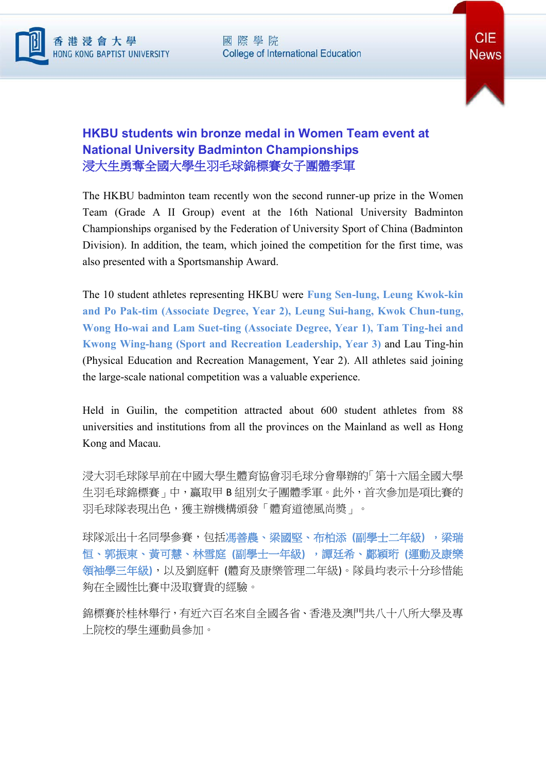



## **HKBU students win bronze medal in Women Team event at National University Badminton Championships** 浸大生勇奪全國大學生羽毛球錦標賽女子團體季軍

The HKBU badminton team recently won the second runner-up prize in the Women Team (Grade A II Group) event at the 16th National University Badminton Championships organised by the Federation of University Sport of China (Badminton Division). In addition, the team, which joined the competition for the first time, was also presented with a Sportsmanship Award.

The 10 student athletes representing HKBU were **Fung Sen-lung, Leung Kwok-kin and Po Pak-tim (Associate Degree, Year 2), Leung Sui-hang, Kwok Chun-tung, Wong Ho-wai and Lam Suet-ting (Associate Degree, Year 1), Tam Ting-hei and Kwong Wing-hang (Sport and Recreation Leadership, Year 3)** and Lau Ting-hin (Physical Education and Recreation Management, Year 2). All athletes said joining the large-scale national competition was a valuable experience.

Held in Guilin, the competition attracted about 600 student athletes from 88 universities and institutions from all the provinces on the Mainland as well as Hong Kong and Macau.

浸大羽毛球隊早前在中國大學生體育協會羽毛球分會舉辦的「第十六屆全國大學 生羽毛球錦標賽」中,贏取甲 B 組別女子團體季軍。此外, 首次參加是項比賽的 羽毛球隊表現出色,獲主辦機構頒發「體育道德風尚奬」。

球隊派出十名同學參賽,包括馮善農、梁國堅、布柏添 **(**副學士二年級**)** ,梁瑞 恒、郭振東、黃可慧、林雪庭 **(**副學士一年級**)** ,譚廷希、鄺穎珩 **(**運動及康樂 領袖學三年級**)**,以及劉庭軒 (體育及康樂管理二年級)。隊員均表示十分珍惜能 夠在全國性比賽中汲取寶貴的經驗。

錦標賽於桂林舉行,有近六百名來自全國各省、香港及澳門共八十八所大學及專 上院校的學生運動員參加。